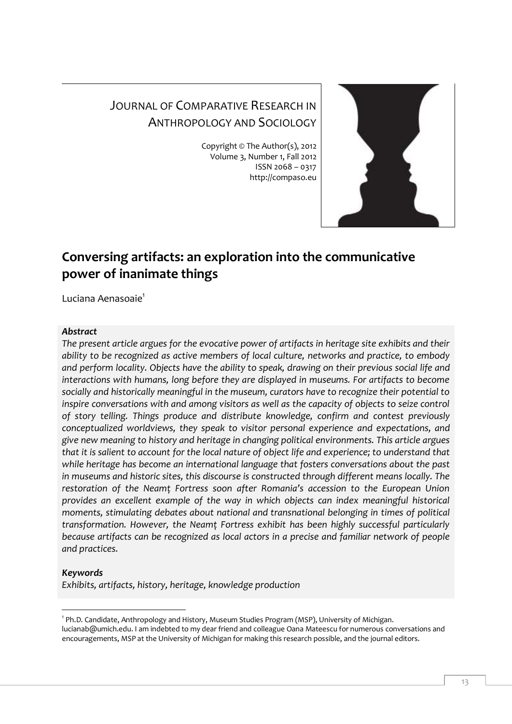# JOURNAL OF COMPARATIVE RESEARCH IN ANTHROPOLOGY AND SOCIOLOGY

Copyright © The Author(s), 2012 Volume 3, Number 1, Fall 2012 ISSN 2068 – 0317 http://compaso.eu



# **Conversing artifacts: an exploration into the communicative power of inanimate things**

Luciana Aenasoaie<sup>1</sup>

#### *Abstract*

*The present article argues for the evocative power of artifacts in heritage site exhibits and their ability to be recognized as active members of local culture, networks and practice, to embody and perform locality. Objects have the ability to speak, drawing on their previous social life and interactions with humans, long before they are displayed in museums. For artifacts to become socially and historically meaningful in the museum, curators have to recognize their potential to inspire conversations with and among visitors as well as the capacity of objects to seize control of story telling. Things produce and distribute knowledge, confirm and contest previously conceptualized worldviews, they speak to visitor personal experience and expectations, and give new meaning to history and heritage in changing political environments. This article argues that it is salient to account for the local nature of object life and experience; to understand that while heritage has become an international language that fosters conversations about the past in museums and historic sites, this discourse is constructed through different means locally. The restoration of the Neamţ Fortress soon after Romania's accession to the European Union provides an excellent example of the way in which objects can index meaningful historical moments, stimulating debates about national and transnational belonging in times of political transformation. However, the Neamţ Fortress exhibit has been highly successful particularly because artifacts can be recognized as local actors in a precise and familiar network of people and practices.*

## *Keywords*

*Exhibits, artifacts, history, heritage, knowledge production*

<sup>-</sup><sup>1</sup> Ph.D. Candidate, Anthropology and History, Museum Studies Program (MSP), University of Michigan. lucianab@umich.edu. I am indebted to my dear friend and colleague Oana Mateescu for numerous conversations and encouragements, MSP at the University of Michigan for making this research possible, and the journal editors.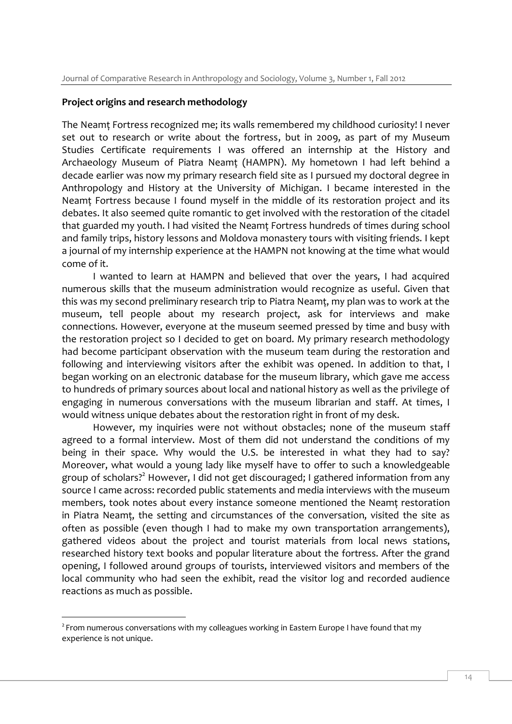#### **Project origins and research methodology**

The Neamţ Fortress recognized me; its walls remembered my childhood curiosity! I never set out to research or write about the fortress, but in 2009, as part of my Museum Studies Certificate requirements I was offered an internship at the History and Archaeology Museum of Piatra Neamţ (HAMPN). My hometown I had left behind a decade earlier was now my primary research field site as I pursued my doctoral degree in Anthropology and History at the University of Michigan. I became interested in the Neamt Fortress because I found myself in the middle of its restoration project and its debates. It also seemed quite romantic to get involved with the restoration of the citadel that guarded my youth. I had visited the Neamt Fortress hundreds of times during school and family trips, history lessons and Moldova monastery tours with visiting friends. I kept a journal of my internship experience at the HAMPN not knowing at the time what would come of it.

I wanted to learn at HAMPN and believed that over the years, I had acquired numerous skills that the museum administration would recognize as useful. Given that this was my second preliminary research trip to Piatra Neamt, my plan was to work at the museum, tell people about my research project, ask for interviews and make connections. However, everyone at the museum seemed pressed by time and busy with the restoration project so I decided to get on board. My primary research methodology had become participant observation with the museum team during the restoration and following and interviewing visitors after the exhibit was opened. In addition to that, I began working on an electronic database for the museum library, which gave me access to hundreds of primary sources about local and national history as well as the privilege of engaging in numerous conversations with the museum librarian and staff. At times, I would witness unique debates about the restoration right in front of my desk.

However, my inquiries were not without obstacles; none of the museum staff agreed to a formal interview. Most of them did not understand the conditions of my being in their space. Why would the U.S. be interested in what they had to say? Moreover, what would a young lady like myself have to offer to such a knowledgeable group of scholars?<sup>2</sup> However, I did not get discouraged; I gathered information from any source I came across: recorded public statements and media interviews with the museum members, took notes about every instance someone mentioned the Neamţ restoration in Piatra Neamt, the setting and circumstances of the conversation, visited the site as often as possible (even though I had to make my own transportation arrangements), gathered videos about the project and tourist materials from local news stations, researched history text books and popular literature about the fortress. After the grand opening, I followed around groups of tourists, interviewed visitors and members of the local community who had seen the exhibit, read the visitor log and recorded audience reactions as much as possible.

 $2$  From numerous conversations with my colleagues working in Eastern Europe I have found that my experience is not unique.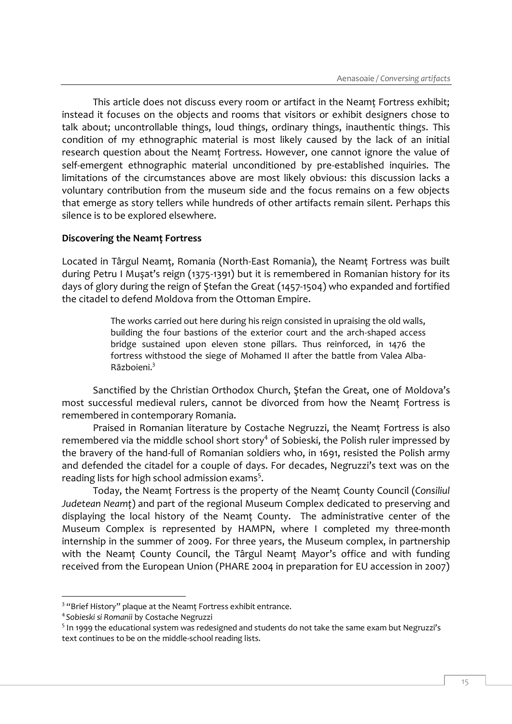This article does not discuss every room or artifact in the Neamt Fortress exhibit; instead it focuses on the objects and rooms that visitors or exhibit designers chose to talk about; uncontrollable things, loud things, ordinary things, inauthentic things. This condition of my ethnographic material is most likely caused by the lack of an initial research question about the Neamţ Fortress. However, one cannot ignore the value of self-emergent ethnographic material unconditioned by pre-established inquiries. The limitations of the circumstances above are most likely obvious: this discussion lacks a voluntary contribution from the museum side and the focus remains on a few objects that emerge as story tellers while hundreds of other artifacts remain silent. Perhaps this silence is to be explored elsewhere.

#### **Discovering the Neamţ Fortress**

Located in Târgul Neamţ, Romania (North-East Romania), the Neamţ Fortress was built during Petru I Muşat's reign (1375-1391) but it is remembered in Romanian history for its days of glory during the reign of Ştefan the Great (1457-1504) who expanded and fortified the citadel to defend Moldova from the Ottoman Empire.

> The works carried out here during his reign consisted in upraising the old walls, building the four bastions of the exterior court and the arch-shaped access bridge sustained upon eleven stone pillars. Thus reinforced, in 1476 the fortress withstood the siege of Mohamed II after the battle from Valea Alba-Războieni.<sup>3</sup>

Sanctified by the Christian Orthodox Church, Ştefan the Great, one of Moldova's most successful medieval rulers, cannot be divorced from how the Neamt Fortress is remembered in contemporary Romania.

Praised in Romanian literature by Costache Negruzzi, the Neamt Fortress is also remembered via the middle school short story<sup>4</sup> of Sobieski, the Polish ruler impressed by the bravery of the hand-full of Romanian soldiers who, in 1691, resisted the Polish army and defended the citadel for a couple of days. For decades, Negruzzi's text was on the reading lists for high school admission exams<sup>5</sup>.

Today, the Neamţ Fortress is the property of the Neamţ County Council (*Consiliul Judetean Neamţ*) and part of the regional Museum Complex dedicated to preserving and displaying the local history of the Neamţ County. The administrative center of the Museum Complex is represented by HAMPN, where I completed my three-month internship in the summer of 2009. For three years, the Museum complex, in partnership with the Neamt County Council, the Târgul Neamt Mayor's office and with funding received from the European Union (PHARE 2004 in preparation for EU accession in 2007)

<sup>&</sup>lt;sup>3</sup> "Brief History" plaque at the Neamț Fortress exhibit entrance.

<sup>4</sup> *Sobieski si Romanii* by Costache Negruzzi

<sup>&</sup>lt;sup>5</sup> In 1999 the educational system was redesigned and students do not take the same exam but Negruzzi's text continues to be on the middle-school reading lists.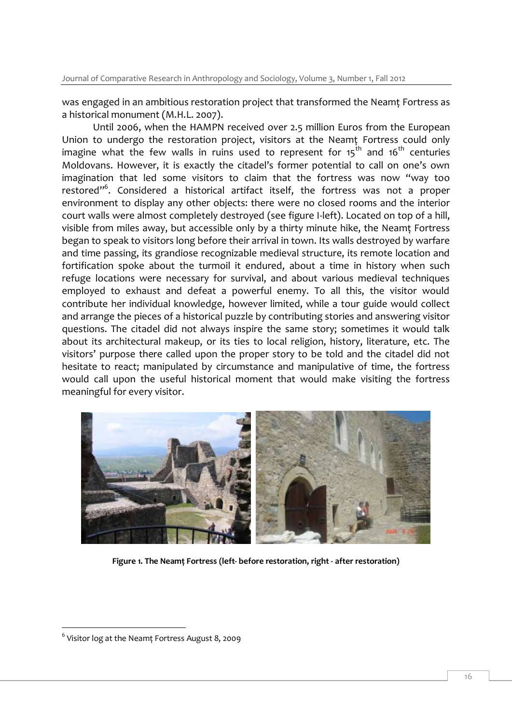Journal of Comparative Research in Anthropology and Sociology, Volume 3, Number 1, Fall 2012

was engaged in an ambitious restoration project that transformed the Neamt Fortress as a historical monument (M.H.L. 2007).

Until 2006, when the HAMPN received over 2.5 million Euros from the European Union to undergo the restoration project, visitors at the Neamt Fortress could only imagine what the few walls in ruins used to represent for  $15<sup>th</sup>$  and  $16<sup>th</sup>$  centuries Moldovans. However, it is exactly the citadel's former potential to call on one's own imagination that led some visitors to claim that the fortress was now "way too restored"<sup>6</sup>. Considered a historical artifact itself, the fortress was not a proper environment to display any other objects: there were no closed rooms and the interior court walls were almost completely destroyed (see figure I-left). Located on top of a hill, visible from miles away, but accessible only by a thirty minute hike, the Neamţ Fortress began to speak to visitors long before their arrival in town. Its walls destroyed by warfare and time passing, its grandiose recognizable medieval structure, its remote location and fortification spoke about the turmoil it endured, about a time in history when such refuge locations were necessary for survival, and about various medieval techniques employed to exhaust and defeat a powerful enemy. To all this, the visitor would contribute her individual knowledge, however limited, while a tour guide would collect and arrange the pieces of a historical puzzle by contributing stories and answering visitor questions. The citadel did not always inspire the same story; sometimes it would talk about its architectural makeup, or its ties to local religion, history, literature, etc. The visitors' purpose there called upon the proper story to be told and the citadel did not hesitate to react; manipulated by circumstance and manipulative of time, the fortress would call upon the useful historical moment that would make visiting the fortress meaningful for every visitor.



**Figure 1. The Neamţ Fortress (left- before restoration, right - after restoration)**

<sup>6</sup> Visitor log at the Neamţ Fortress August 8, 2009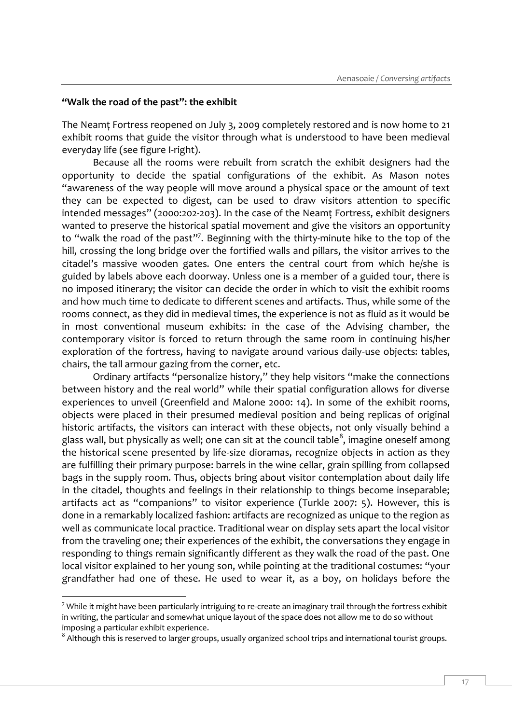#### **"Walk the road of the past": the exhibit**

-

The Neamţ Fortress reopened on July 3, 2009 completely restored and is now home to 21 exhibit rooms that guide the visitor through what is understood to have been medieval everyday life (see figure I-right).

Because all the rooms were rebuilt from scratch the exhibit designers had the opportunity to decide the spatial configurations of the exhibit. As Mason notes "awareness of the way people will move around a physical space or the amount of text they can be expected to digest, can be used to draw visitors attention to specific intended messages" (2000:202-203). In the case of the Neamt Fortress, exhibit designers wanted to preserve the historical spatial movement and give the visitors an opportunity to "walk the road of the past"<sup>7</sup>. Beginning with the thirty-minute hike to the top of the hill, crossing the long bridge over the fortified walls and pillars, the visitor arrives to the citadel's massive wooden gates. One enters the central court from which he/she is guided by labels above each doorway. Unless one is a member of a guided tour, there is no imposed itinerary; the visitor can decide the order in which to visit the exhibit rooms and how much time to dedicate to different scenes and artifacts. Thus, while some of the rooms connect, as they did in medieval times, the experience is not as fluid as it would be in most conventional museum exhibits: in the case of the Advising chamber, the contemporary visitor is forced to return through the same room in continuing his/her exploration of the fortress, having to navigate around various daily-use objects: tables, chairs, the tall armour gazing from the corner, etc.

Ordinary artifacts "personalize history," they help visitors "make the connections between history and the real world" while their spatial configuration allows for diverse experiences to unveil (Greenfield and Malone 2000: 14). In some of the exhibit rooms, objects were placed in their presumed medieval position and being replicas of original historic artifacts, the visitors can interact with these objects, not only visually behind a glass wall, but physically as well; one can sit at the council table $^8$ , imagine oneself among the historical scene presented by life-size dioramas, recognize objects in action as they are fulfilling their primary purpose: barrels in the wine cellar, grain spilling from collapsed bags in the supply room. Thus, objects bring about visitor contemplation about daily life in the citadel, thoughts and feelings in their relationship to things become inseparable; artifacts act as "companions" to visitor experience (Turkle 2007: 5). However, this is done in a remarkably localized fashion: artifacts are recognized as unique to the region as well as communicate local practice. Traditional wear on display sets apart the local visitor from the traveling one; their experiences of the exhibit, the conversations they engage in responding to things remain significantly different as they walk the road of the past. One local visitor explained to her young son, while pointing at the traditional costumes: "your grandfather had one of these. He used to wear it, as a boy, on holidays before the

 $7$  While it might have been particularly intriguing to re-create an imaginary trail through the fortress exhibit in writing, the particular and somewhat unique layout of the space does not allow me to do so without imposing a particular exhibit experience.

 $8$  Although this is reserved to larger groups, usually organized school trips and international tourist groups.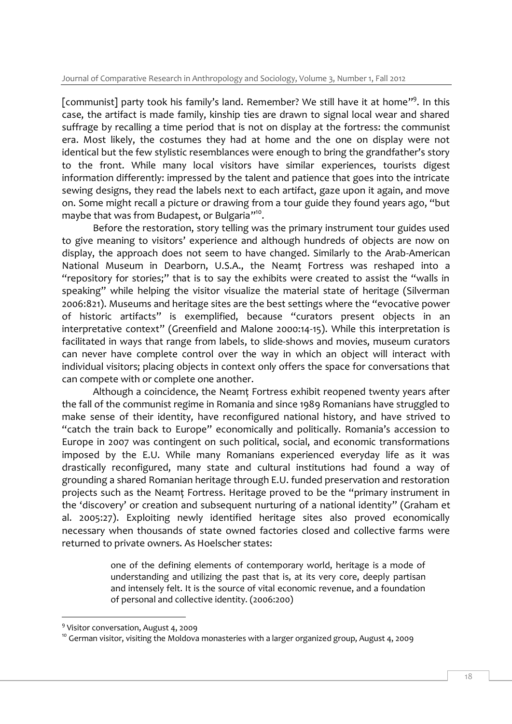[communist] party took his family's land. Remember? We still have it at home"<sup>9</sup>. In this case, the artifact is made family, kinship ties are drawn to signal local wear and shared suffrage by recalling a time period that is not on display at the fortress: the communist era. Most likely, the costumes they had at home and the one on display were not identical but the few stylistic resemblances were enough to bring the grandfather's story to the front. While many local visitors have similar experiences, tourists digest information differently: impressed by the talent and patience that goes into the intricate sewing designs, they read the labels next to each artifact, gaze upon it again, and move on. Some might recall a picture or drawing from a tour guide they found years ago, "but maybe that was from Budapest, or Bulgaria"<sup>10</sup>.

Before the restoration, story telling was the primary instrument tour guides used to give meaning to visitors' experience and although hundreds of objects are now on display, the approach does not seem to have changed. Similarly to the Arab-American National Museum in Dearborn, U.S.A., the Neamţ Fortress was reshaped into a "repository for stories;" that is to say the exhibits were created to assist the "walls in speaking" while helping the visitor visualize the material state of heritage (Silverman 2006:821). Museums and heritage sites are the best settings where the "evocative power of historic artifacts" is exemplified, because "curators present objects in an interpretative context" (Greenfield and Malone 2000:14-15). While this interpretation is facilitated in ways that range from labels, to slide-shows and movies, museum curators can never have complete control over the way in which an object will interact with individual visitors; placing objects in context only offers the space for conversations that can compete with or complete one another.

Although a coincidence, the Neamt Fortress exhibit reopened twenty years after the fall of the communist regime in Romania and since 1989 Romanians have struggled to make sense of their identity, have reconfigured national history, and have strived to "catch the train back to Europe" economically and politically. Romania's accession to Europe in 2007 was contingent on such political, social, and economic transformations imposed by the E.U. While many Romanians experienced everyday life as it was drastically reconfigured, many state and cultural institutions had found a way of grounding a shared Romanian heritage through E.U. funded preservation and restoration projects such as the Neamţ Fortress. Heritage proved to be the "primary instrument in the 'discovery' or creation and subsequent nurturing of a national identity" (Graham et al. 2005:27). Exploiting newly identified heritage sites also proved economically necessary when thousands of state owned factories closed and collective farms were returned to private owners. As Hoelscher states:

> one of the defining elements of contemporary world, heritage is a mode of understanding and utilizing the past that is, at its very core, deeply partisan and intensely felt. It is the source of vital economic revenue, and a foundation of personal and collective identity. (2006:200)

<sup>&</sup>lt;sup>9</sup> Visitor conversation, August 4, 2009

<sup>&</sup>lt;sup>10</sup> German visitor, visiting the Moldova monasteries with a larger organized group, August 4, 2009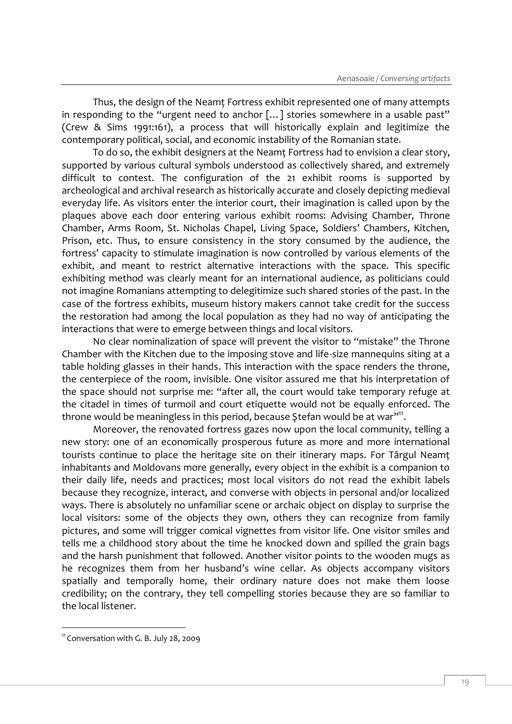Thus, the design of the Neamt Fortress exhibit represented one of many attempts in responding to the "urgent need to anchor [...] stories somewhere in a usable past" (Crew & Sims 1991:161), a process that will historically explain and legitimize the contemporary political, social, and economic instability of the Romanian state.

To do so, the exhibit designers at the Neamţ Fortress had to envision a clear story, supported by various cultural symbols understood as collectively shared, and extremely difficult to contest. The configuration of the 21 exhibit rooms is supported by archeological and archival research as historically accurate and closely depicting medieval everyday life. As visitors enter the interior court, their imagination is called upon by the plaques above each door entering various exhibit rooms: Advising Chamber, Throne Chamber, Arms Room, St. Nicholas Chapel, Living Space, Soldiers' Chambers, Kitchen, Prison, etc. Thus, to ensure consistency in the story consumed by the audience, the fortress' capacity to stimulate imagination is now controlled by various elements of the exhibit, and meant to restrict alternative interactions with the space. This specific exhibiting method was clearly meant for an international audience, as politicians could not imagine Romanians attempting to delegitimize such shared stories of the past. In the case of the fortress exhibits, museum history makers cannot take credit for the success the restoration had among the local population as they had no way of anticipating the interactions that were to emerge between things and local visitors.

No clear nominalization of space will prevent the visitor to "mistake" the Throne Chamber with the Kitchen due to the imposing stove and life-size mannequins siting at a table holding glasses in their hands. This interaction with the space renders the throne, the centerpiece of the room, invisible. One visitor assured me that his interpretation of the space should not surprise me: "after all, the court would take temporary refuge at the citadel in times of turmoil and court etiquette would not be equally enforced. The throne would be meaningless in this period, because Ştefan would be at war"<sup>11</sup>.

Moreover, the renovated fortress gazes now upon the local community, telling a new story: one of an economically prosperous future as more and more international tourists continue to place the heritage site on their itinerary maps. For Târgul Neamţ inhabitants and Moldovans more generally, every object in the exhibit is a companion to their daily life, needs and practices; most local visitors do not read the exhibit labels because they recognize, interact, and converse with objects in personal and/or localized ways. There is absolutely no unfamiliar scene or archaic object on display to surprise the local visitors: some of the objects they own, others they can recognize from family pictures, and some will trigger comical vignettes from visitor life. One visitor smiles and tells me a childhood story about the time he knocked down and spilled the grain bags and the harsh punishment that followed. Another visitor points to the wooden mugs as he recognizes them from her husband's wine cellar. As objects accompany visitors spatially and temporally home, their ordinary nature does not make them loose credibility; on the contrary, they tell compelling stories because they are so familiar to the local listener.

<sup>&</sup>lt;sup>11</sup> Conversation with G. B. July 28, 2009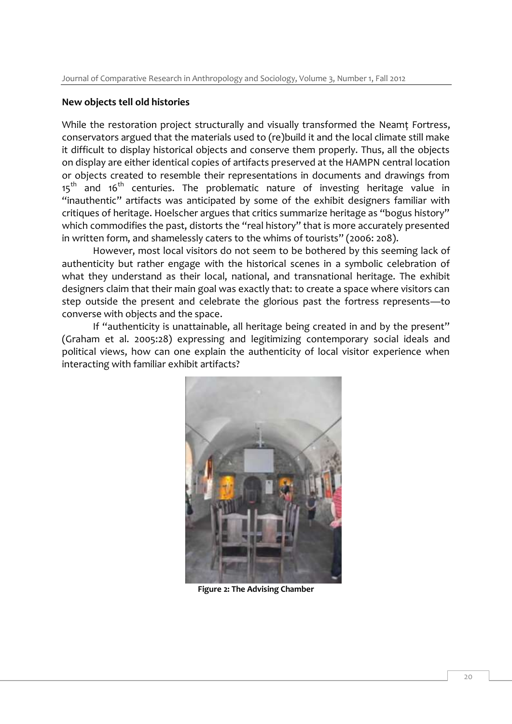#### **New objects tell old histories**

While the restoration project structurally and visually transformed the Neamt Fortress, conservators argued that the materials used to (re)build it and the local climate still make it difficult to display historical objects and conserve them properly. Thus, all the objects on display are either identical copies of artifacts preserved at the HAMPN central location or objects created to resemble their representations in documents and drawings from  $15<sup>th</sup>$  and  $16<sup>th</sup>$  centuries. The problematic nature of investing heritage value in "inauthentic" artifacts was anticipated by some of the exhibit designers familiar with critiques of heritage. Hoelscher argues that critics summarize heritage as "bogus history" which commodifies the past, distorts the "real history" that is more accurately presented in written form, and shamelessly caters to the whims of tourists" (2006: 208).

However, most local visitors do not seem to be bothered by this seeming lack of authenticity but rather engage with the historical scenes in a symbolic celebration of what they understand as their local, national, and transnational heritage. The exhibit designers claim that their main goal was exactly that: to create a space where visitors can step outside the present and celebrate the glorious past the fortress represents—to converse with objects and the space.

If "authenticity is unattainable, all heritage being created in and by the present" (Graham et al. 2005:28) expressing and legitimizing contemporary social ideals and political views, how can one explain the authenticity of local visitor experience when interacting with familiar exhibit artifacts?



**Figure 2: The Advising Chamber**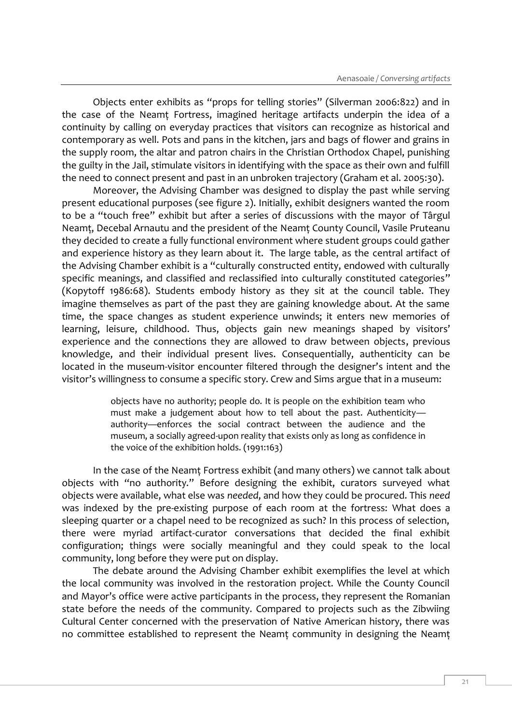Objects enter exhibits as "props for telling stories" (Silverman 2006:822) and in the case of the Neamţ Fortress, imagined heritage artifacts underpin the idea of a continuity by calling on everyday practices that visitors can recognize as historical and contemporary as well. Pots and pans in the kitchen, jars and bags of flower and grains in the supply room, the altar and patron chairs in the Christian Orthodox Chapel, punishing the guilty in the Jail, stimulate visitors in identifying with the space as their own and fulfill the need to connect present and past in an unbroken trajectory (Graham et al. 2005:30).

Moreover, the Advising Chamber was designed to display the past while serving present educational purposes (see figure 2). Initially, exhibit designers wanted the room to be a "touch free" exhibit but after a series of discussions with the mayor of Târgul Neamţ, Decebal Arnautu and the president of the Neamţ County Council, Vasile Pruteanu they decided to create a fully functional environment where student groups could gather and experience history as they learn about it. The large table, as the central artifact of the Advising Chamber exhibit is a "culturally constructed entity, endowed with culturally specific meanings, and classified and reclassified into culturally constituted categories" (Kopytoff 1986:68). Students embody history as they sit at the council table. They imagine themselves as part of the past they are gaining knowledge about. At the same time, the space changes as student experience unwinds; it enters new memories of learning, leisure, childhood. Thus, objects gain new meanings shaped by visitors' experience and the connections they are allowed to draw between objects, previous knowledge, and their individual present lives. Consequentially, authenticity can be located in the museum-visitor encounter filtered through the designer's intent and the visitor's willingness to consume a specific story. Crew and Sims argue that in a museum:

> objects have no authority; people do. It is people on the exhibition team who must make a judgement about how to tell about the past. Authenticity authority—enforces the social contract between the audience and the museum, a socially agreed-upon reality that exists only as long as confidence in the voice of the exhibition holds. (1991:163)

In the case of the Neamţ Fortress exhibit (and many others) we cannot talk about objects with "no authority." Before designing the exhibit, curators surveyed what objects were available, what else was *needed*, and how they could be procured. This *need* was indexed by the pre-existing purpose of each room at the fortress: What does a sleeping quarter or a chapel need to be recognized as such? In this process of selection, there were myriad artifact-curator conversations that decided the final exhibit configuration; things were socially meaningful and they could speak to the local community, long before they were put on display.

The debate around the Advising Chamber exhibit exemplifies the level at which the local community was involved in the restoration project. While the County Council and Mayor's office were active participants in the process, they represent the Romanian state before the needs of the community. Compared to projects such as the Zibwiing Cultural Center concerned with the preservation of Native American history, there was no committee established to represent the Neamţ community in designing the Neamţ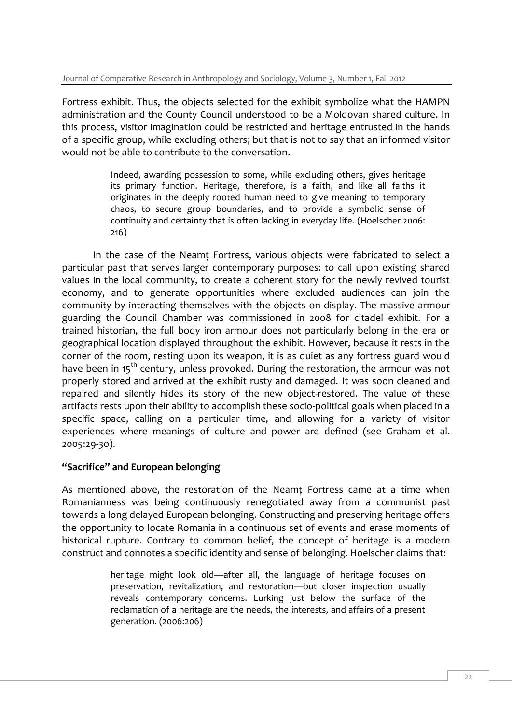Fortress exhibit. Thus, the objects selected for the exhibit symbolize what the HAMPN administration and the County Council understood to be a Moldovan shared culture. In this process, visitor imagination could be restricted and heritage entrusted in the hands of a specific group, while excluding others; but that is not to say that an informed visitor would not be able to contribute to the conversation.

> Indeed, awarding possession to some, while excluding others, gives heritage its primary function. Heritage, therefore, is a faith, and like all faiths it originates in the deeply rooted human need to give meaning to temporary chaos, to secure group boundaries, and to provide a symbolic sense of continuity and certainty that is often lacking in everyday life. (Hoelscher 2006: 216)

In the case of the Neamţ Fortress, various objects were fabricated to select a particular past that serves larger contemporary purposes: to call upon existing shared values in the local community, to create a coherent story for the newly revived tourist economy, and to generate opportunities where excluded audiences can join the community by interacting themselves with the objects on display. The massive armour guarding the Council Chamber was commissioned in 2008 for citadel exhibit. For a trained historian, the full body iron armour does not particularly belong in the era or geographical location displayed throughout the exhibit. However, because it rests in the corner of the room, resting upon its weapon, it is as quiet as any fortress guard would have been in 15<sup>th</sup> century, unless provoked. During the restoration, the armour was not properly stored and arrived at the exhibit rusty and damaged. It was soon cleaned and repaired and silently hides its story of the new object-restored. The value of these artifacts rests upon their ability to accomplish these socio-political goals when placed in a specific space, calling on a particular time, and allowing for a variety of visitor experiences where meanings of culture and power are defined (see Graham et al. 2005:29-30).

## **"Sacrifice" and European belonging**

As mentioned above, the restoration of the Neamţ Fortress came at a time when Romanianness was being continuously renegotiated away from a communist past towards a long delayed European belonging. Constructing and preserving heritage offers the opportunity to locate Romania in a continuous set of events and erase moments of historical rupture. Contrary to common belief, the concept of heritage is a modern construct and connotes a specific identity and sense of belonging. Hoelscher claims that:

> heritage might look old—after all, the language of heritage focuses on preservation, revitalization, and restoration—but closer inspection usually reveals contemporary concerns. Lurking just below the surface of the reclamation of a heritage are the needs, the interests, and affairs of a present generation. (2006:206)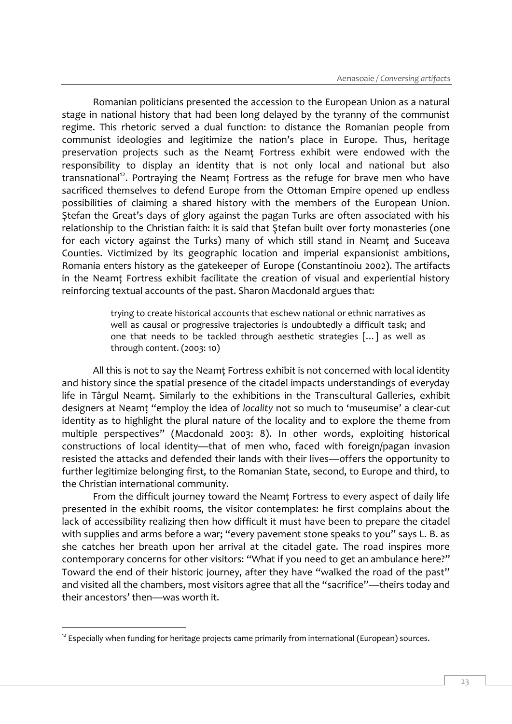Romanian politicians presented the accession to the European Union as a natural stage in national history that had been long delayed by the tyranny of the communist regime. This rhetoric served a dual function: to distance the Romanian people from communist ideologies and legitimize the nation's place in Europe. Thus, heritage preservation projects such as the Neamţ Fortress exhibit were endowed with the responsibility to display an identity that is not only local and national but also transnational<sup>12</sup>. Portraying the Neamt Fortress as the refuge for brave men who have sacrificed themselves to defend Europe from the Ottoman Empire opened up endless possibilities of claiming a shared history with the members of the European Union. Ştefan the Great's days of glory against the pagan Turks are often associated with his relationship to the Christian faith: it is said that Ştefan built over forty monasteries (one for each victory against the Turks) many of which still stand in Neamt and Suceava Counties. Victimized by its geographic location and imperial expansionist ambitions, Romania enters history as the gatekeeper of Europe (Constantinoiu 2002). The artifacts in the Neamţ Fortress exhibit facilitate the creation of visual and experiential history reinforcing textual accounts of the past. Sharon Macdonald argues that:

> trying to create historical accounts that eschew national or ethnic narratives as well as causal or progressive trajectories is undoubtedly a difficult task; and one that needs to be tackled through aesthetic strategies […] as well as through content. (2003: 10)

All this is not to say the Neamţ Fortress exhibit is not concerned with local identity and history since the spatial presence of the citadel impacts understandings of everyday life in Târgul Neamţ. Similarly to the exhibitions in the Transcultural Galleries, exhibit designers at Neamţ "employ the idea of *locality* not so much to 'museumise' a clear-cut identity as to highlight the plural nature of the locality and to explore the theme from multiple perspectives" (Macdonald 2003: 8). In other words, exploiting historical constructions of local identity—that of men who, faced with foreign/pagan invasion resisted the attacks and defended their lands with their lives—offers the opportunity to further legitimize belonging first, to the Romanian State, second, to Europe and third, to the Christian international community.

From the difficult journey toward the Neamt Fortress to every aspect of daily life presented in the exhibit rooms, the visitor contemplates: he first complains about the lack of accessibility realizing then how difficult it must have been to prepare the citadel with supplies and arms before a war; "every pavement stone speaks to you" says L. B. as she catches her breath upon her arrival at the citadel gate. The road inspires more contemporary concerns for other visitors: "What if you need to get an ambulance here?" Toward the end of their historic journey, after they have "walked the road of the past" and visited all the chambers, most visitors agree that all the "sacrifice"—theirs today and their ancestors' then—was worth it.

<sup>-</sup> $12$  Especially when funding for heritage projects came primarily from international (European) sources.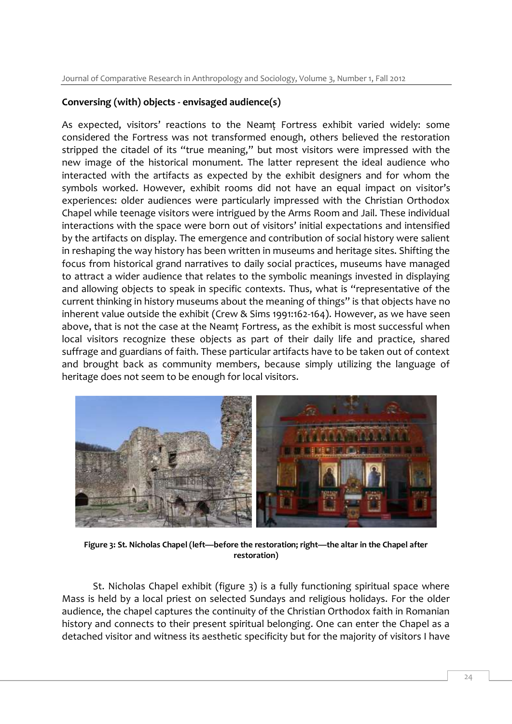## **Conversing (with) objects - envisaged audience(s)**

As expected, visitors' reactions to the Neamt Fortress exhibit varied widely: some considered the Fortress was not transformed enough, others believed the restoration stripped the citadel of its "true meaning," but most visitors were impressed with the new image of the historical monument. The latter represent the ideal audience who interacted with the artifacts as expected by the exhibit designers and for whom the symbols worked. However, exhibit rooms did not have an equal impact on visitor's experiences: older audiences were particularly impressed with the Christian Orthodox Chapel while teenage visitors were intrigued by the Arms Room and Jail. These individual interactions with the space were born out of visitors' initial expectations and intensified by the artifacts on display. The emergence and contribution of social history were salient in reshaping the way history has been written in museums and heritage sites. Shifting the focus from historical grand narratives to daily social practices, museums have managed to attract a wider audience that relates to the symbolic meanings invested in displaying and allowing objects to speak in specific contexts. Thus, what is "representative of the current thinking in history museums about the meaning of things" is that objects have no inherent value outside the exhibit (Crew & Sims 1991:162-164). However, as we have seen above, that is not the case at the Neamţ Fortress, as the exhibit is most successful when local visitors recognize these objects as part of their daily life and practice, shared suffrage and guardians of faith. These particular artifacts have to be taken out of context and brought back as community members, because simply utilizing the language of heritage does not seem to be enough for local visitors.



**Figure 3: St. Nicholas Chapel (left—before the restoration; right—the altar in the Chapel after restoration)**

St. Nicholas Chapel exhibit (figure 3) is a fully functioning spiritual space where Mass is held by a local priest on selected Sundays and religious holidays. For the older audience, the chapel captures the continuity of the Christian Orthodox faith in Romanian history and connects to their present spiritual belonging. One can enter the Chapel as a detached visitor and witness its aesthetic specificity but for the majority of visitors I have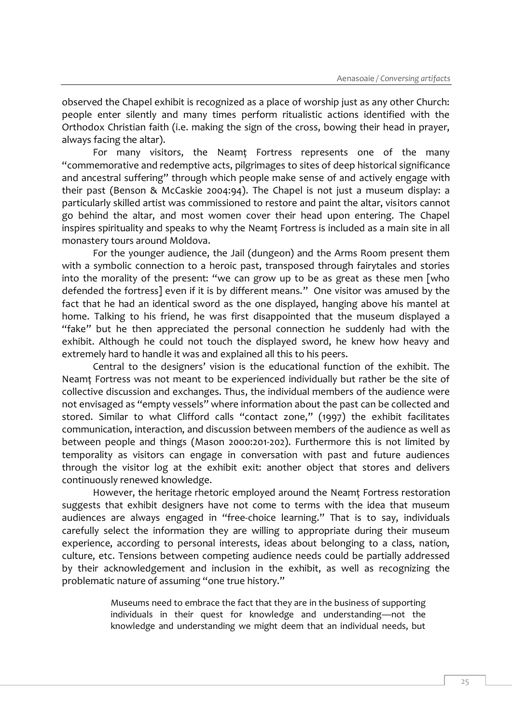observed the Chapel exhibit is recognized as a place of worship just as any other Church: people enter silently and many times perform ritualistic actions identified with the Orthodox Christian faith (i.e. making the sign of the cross, bowing their head in prayer, always facing the altar).

For many visitors, the Neamţ Fortress represents one of the many "commemorative and redemptive acts, pilgrimages to sites of deep historical significance and ancestral suffering" through which people make sense of and actively engage with their past (Benson & McCaskie 2004:94). The Chapel is not just a museum display: a particularly skilled artist was commissioned to restore and paint the altar, visitors cannot go behind the altar, and most women cover their head upon entering. The Chapel inspires spirituality and speaks to why the Neamţ Fortress is included as a main site in all monastery tours around Moldova.

For the younger audience, the Jail (dungeon) and the Arms Room present them with a symbolic connection to a heroic past, transposed through fairytales and stories into the morality of the present: "we can grow up to be as great as these men [who defended the fortress] even if it is by different means." One visitor was amused by the fact that he had an identical sword as the one displayed, hanging above his mantel at home. Talking to his friend, he was first disappointed that the museum displayed a "fake" but he then appreciated the personal connection he suddenly had with the exhibit. Although he could not touch the displayed sword, he knew how heavy and extremely hard to handle it was and explained all this to his peers.

Central to the designers' vision is the educational function of the exhibit. The Neamţ Fortress was not meant to be experienced individually but rather be the site of collective discussion and exchanges. Thus, the individual members of the audience were not envisaged as "empty vessels" where information about the past can be collected and stored. Similar to what Clifford calls "contact zone," (1997) the exhibit facilitates communication, interaction, and discussion between members of the audience as well as between people and things (Mason 2000:201-202). Furthermore this is not limited by temporality as visitors can engage in conversation with past and future audiences through the visitor log at the exhibit exit: another object that stores and delivers continuously renewed knowledge.

However, the heritage rhetoric employed around the Neamţ Fortress restoration suggests that exhibit designers have not come to terms with the idea that museum audiences are always engaged in "free-choice learning." That is to say, individuals carefully select the information they are willing to appropriate during their museum experience, according to personal interests, ideas about belonging to a class, nation, culture, etc. Tensions between competing audience needs could be partially addressed by their acknowledgement and inclusion in the exhibit, as well as recognizing the problematic nature of assuming "one true history."

> Museums need to embrace the fact that they are in the business of supporting individuals in their quest for knowledge and understanding—not the knowledge and understanding we might deem that an individual needs, but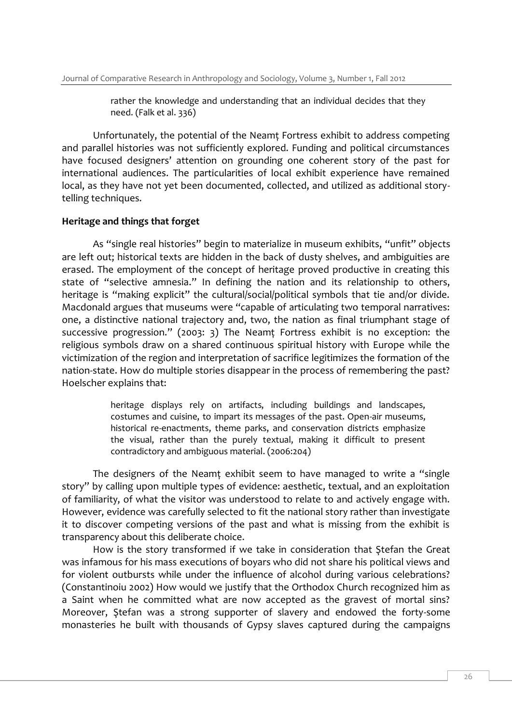rather the knowledge and understanding that an individual decides that they need. (Falk et al. 336)

Unfortunately, the potential of the Neamţ Fortress exhibit to address competing and parallel histories was not sufficiently explored. Funding and political circumstances have focused designers' attention on grounding one coherent story of the past for international audiences. The particularities of local exhibit experience have remained local, as they have not yet been documented, collected, and utilized as additional storytelling techniques.

#### **Heritage and things that forget**

As "single real histories" begin to materialize in museum exhibits, "unfit" objects are left out; historical texts are hidden in the back of dusty shelves, and ambiguities are erased. The employment of the concept of heritage proved productive in creating this state of "selective amnesia." In defining the nation and its relationship to others, heritage is "making explicit" the cultural/social/political symbols that tie and/or divide. Macdonald argues that museums were "capable of articulating two temporal narratives: one, a distinctive national trajectory and, two, the nation as final triumphant stage of successive progression." (2003: 3) The Neamţ Fortress exhibit is no exception: the religious symbols draw on a shared continuous spiritual history with Europe while the victimization of the region and interpretation of sacrifice legitimizes the formation of the nation-state. How do multiple stories disappear in the process of remembering the past? Hoelscher explains that:

> heritage displays rely on artifacts, including buildings and landscapes, costumes and cuisine, to impart its messages of the past. Open-air museums, historical re-enactments, theme parks, and conservation districts emphasize the visual, rather than the purely textual, making it difficult to present contradictory and ambiguous material. (2006:204)

The designers of the Neamţ exhibit seem to have managed to write a "single story" by calling upon multiple types of evidence: aesthetic, textual, and an exploitation of familiarity, of what the visitor was understood to relate to and actively engage with. However, evidence was carefully selected to fit the national story rather than investigate it to discover competing versions of the past and what is missing from the exhibit is transparency about this deliberate choice.

How is the story transformed if we take in consideration that Ştefan the Great was infamous for his mass executions of boyars who did not share his political views and for violent outbursts while under the influence of alcohol during various celebrations? (Constantinoiu 2002) How would we justify that the Orthodox Church recognized him as a Saint when he committed what are now accepted as the gravest of mortal sins? Moreover, Ştefan was a strong supporter of slavery and endowed the forty-some monasteries he built with thousands of Gypsy slaves captured during the campaigns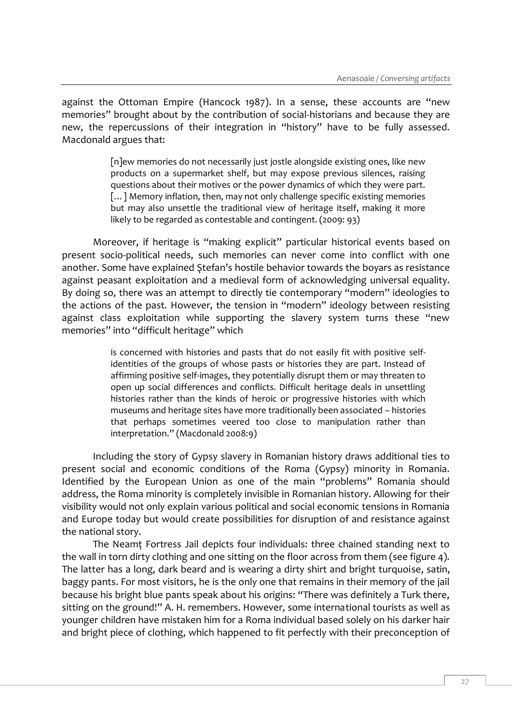against the Ottoman Empire (Hancock 1987). In a sense, these accounts are "new memories" brought about by the contribution of social-historians and because they are new, the repercussions of their integration in "history" have to be fully assessed. Macdonald argues that:

> [n]ew memories do not necessarily just jostle alongside existing ones, like new products on a supermarket shelf, but may expose previous silences, raising questions about their motives or the power dynamics of which they were part. [...] Memory inflation, then, may not only challenge specific existing memories but may also unsettle the traditional view of heritage itself, making it more likely to be regarded as contestable and contingent. (2009: 93)

Moreover, if heritage is "making explicit" particular historical events based on present socio-political needs, such memories can never come into conflict with one another. Some have explained Ştefan's hostile behavior towards the boyars as resistance against peasant exploitation and a medieval form of acknowledging universal equality. By doing so, there was an attempt to directly tie contemporary "modern" ideologies to the actions of the past. However, the tension in "modern" ideology between resisting against class exploitation while supporting the slavery system turns these "new memories" into "difficult heritage" which

> is concerned with histories and pasts that do not easily fit with positive selfidentities of the groups of whose pasts or histories they are part. Instead of affirming positive self-images, they potentially disrupt them or may threaten to open up social differences and conflicts. Difficult heritage deals in unsettling histories rather than the kinds of heroic or progressive histories with which museums and heritage sites have more traditionally been associated – histories that perhaps sometimes veered too close to manipulation rather than interpretation." (Macdonald 2008:9)

Including the story of Gypsy slavery in Romanian history draws additional ties to present social and economic conditions of the Roma (Gypsy) minority in Romania. Identified by the European Union as one of the main "problems" Romania should address, the Roma minority is completely invisible in Romanian history. Allowing for their visibility would not only explain various political and social economic tensions in Romania and Europe today but would create possibilities for disruption of and resistance against the national story.

The Neamţ Fortress Jail depicts four individuals: three chained standing next to the wall in torn dirty clothing and one sitting on the floor across from them (see figure 4). The latter has a long, dark beard and is wearing a dirty shirt and bright turquoise, satin, baggy pants. For most visitors, he is the only one that remains in their memory of the jail because his bright blue pants speak about his origins: "There was definitely a Turk there, sitting on the ground!" A. H. remembers. However, some international tourists as well as younger children have mistaken him for a Roma individual based solely on his darker hair and bright piece of clothing, which happened to fit perfectly with their preconception of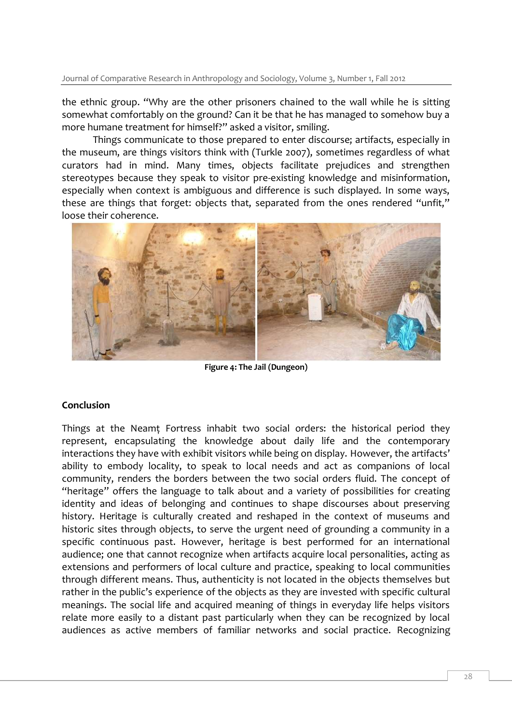Journal of Comparative Research in Anthropology and Sociology, Volume 3, Number 1, Fall 2012

the ethnic group. "Why are the other prisoners chained to the wall while he is sitting somewhat comfortably on the ground? Can it be that he has managed to somehow buy a more humane treatment for himself?" asked a visitor, smiling.

Things communicate to those prepared to enter discourse; artifacts, especially in the museum, are things visitors think with (Turkle 2007), sometimes regardless of what curators had in mind. Many times, objects facilitate prejudices and strengthen stereotypes because they speak to visitor pre-existing knowledge and misinformation, especially when context is ambiguous and difference is such displayed. In some ways, these are things that forget: objects that, separated from the ones rendered "unfit," loose their coherence.



**Figure 4: The Jail (Dungeon)**

# **Conclusion**

Things at the Neamt Fortress inhabit two social orders: the historical period they represent, encapsulating the knowledge about daily life and the contemporary interactions they have with exhibit visitors while being on display. However, the artifacts' ability to embody locality, to speak to local needs and act as companions of local community, renders the borders between the two social orders fluid. The concept of "heritage" offers the language to talk about and a variety of possibilities for creating identity and ideas of belonging and continues to shape discourses about preserving history. Heritage is culturally created and reshaped in the context of museums and historic sites through objects, to serve the urgent need of grounding a community in a specific continuous past. However, heritage is best performed for an international audience; one that cannot recognize when artifacts acquire local personalities, acting as extensions and performers of local culture and practice, speaking to local communities through different means. Thus, authenticity is not located in the objects themselves but rather in the public's experience of the objects as they are invested with specific cultural meanings. The social life and acquired meaning of things in everyday life helps visitors relate more easily to a distant past particularly when they can be recognized by local audiences as active members of familiar networks and social practice. Recognizing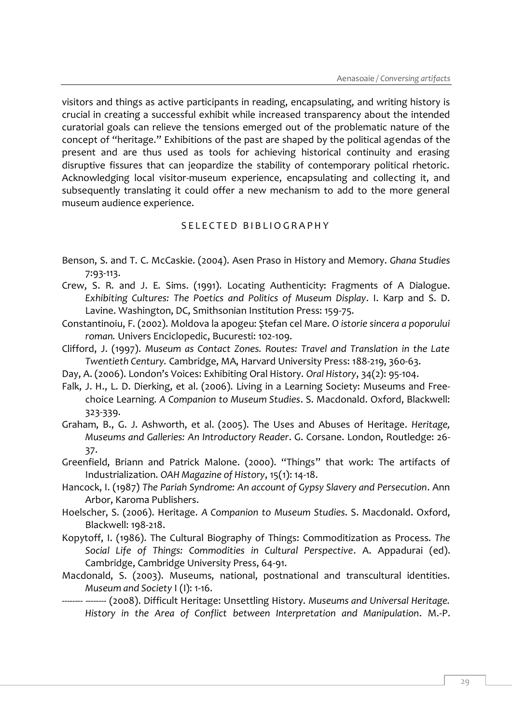visitors and things as active participants in reading, encapsulating, and writing history is crucial in creating a successful exhibit while increased transparency about the intended curatorial goals can relieve the tensions emerged out of the problematic nature of the concept of "heritage." Exhibitions of the past are shaped by the political agendas of the present and are thus used as tools for achieving historical continuity and erasing disruptive fissures that can jeopardize the stability of contemporary political rhetoric. Acknowledging local visitor-museum experience, encapsulating and collecting it, and subsequently translating it could offer a new mechanism to add to the more general museum audience experience.

### S E L E C T E D B I B L I O G R A P H Y

- Benson, S. and T. C. McCaskie. (2004). Asen Praso in History and Memory. *Ghana Studies* 7:93-113.
- Crew, S. R. and J. E. Sims. (1991). Locating Authenticity: Fragments of A Dialogue. *Exhibiting Cultures: The Poetics and Politics of Museum Display*. I. Karp and S. D. Lavine. Washington, DC, Smithsonian Institution Press: 159-75.
- Constantinoiu, F. (2002). Moldova la apogeu: Ștefan cel Mare. *O istorie sincera a poporului roman.* Univers Enciclopedic, Bucuresti: 102-109.
- Clifford, J. (1997). *Museum as Contact Zones. Routes: Travel and Translation in the Late Twentieth Century.* Cambridge, MA, Harvard University Press: 188-219, 360-63.
- Day, A. (2006). London's Voices: Exhibiting Oral History. *Oral History*, 34(2): 95-104.
- Falk, J. H., L. D. Dierking, et al. (2006). Living in a Learning Society: Museums and Freechoice Learning*. A Companion to Museum Studies*. S. Macdonald. Oxford, Blackwell: 323-339.
- Graham, B., G. J. Ashworth, et al. (2005). The Uses and Abuses of Heritage. *Heritage, Museums and Galleries: An Introductory Reader*. G. Corsane. London, Routledge: 26- 37.
- Greenfield, Briann and Patrick Malone. (2000). "Things" that work: The artifacts of Industrialization. *OAH Magazine of History*, 15(1): 14-18.
- Hancock, I. (1987) *The Pariah Syndrome: An account of Gypsy Slavery and Persecution*. Ann Arbor, Karoma Publishers.
- Hoelscher, S. (2006). Heritage. *A Companion to Museum Studies*. S. Macdonald. Oxford, Blackwell: 198-218.
- Kopytoff, I. (1986). The Cultural Biography of Things: Commoditization as Process. *The Social Life of Things: Commodities in Cultural Perspective*. A. Appadurai (ed). Cambridge, Cambridge University Press, 64-91.
- Macdonald, S. (2003). Museums, national, postnational and transcultural identities. *Museum and Society* I (I): 1-16.
- -------- -------- (2008). Difficult Heritage: Unsettling History. *Museums and Universal Heritage. History in the Area of Conflict between Interpretation and Manipulation*. M.-P.